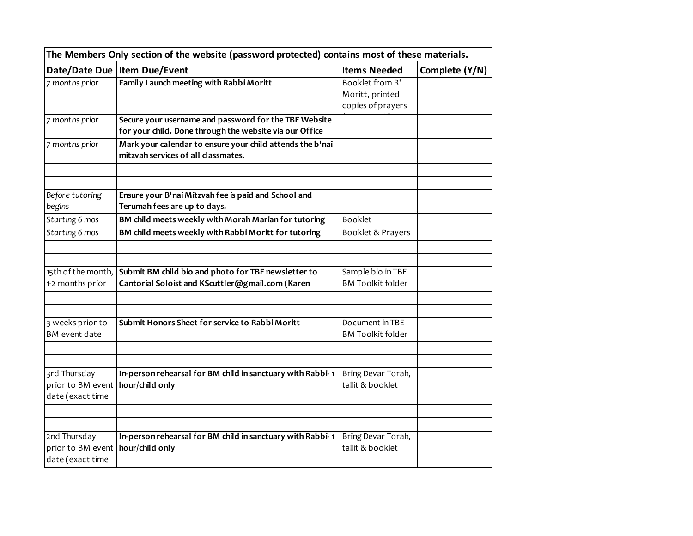| The Members Only section of the website (password protected) contains most of these materials. |                                                            |                          |                |  |  |
|------------------------------------------------------------------------------------------------|------------------------------------------------------------|--------------------------|----------------|--|--|
| Date/Date Due                                                                                  | <b>Item Due/Event</b>                                      | <b>Items Needed</b>      | Complete (Y/N) |  |  |
| 7 months prior                                                                                 | Family Launch meeting with Rabbi Moritt                    | Booklet from R'          |                |  |  |
|                                                                                                |                                                            | Moritt, printed          |                |  |  |
|                                                                                                |                                                            | copies of prayers        |                |  |  |
| 7 months prior                                                                                 | Secure your username and password for the TBE Website      |                          |                |  |  |
|                                                                                                | for your child. Done through the website via our Office    |                          |                |  |  |
| 7 months prior                                                                                 | Mark your calendar to ensure your child attends the b'nai  |                          |                |  |  |
|                                                                                                | mitzvah services of all classmates.                        |                          |                |  |  |
|                                                                                                |                                                            |                          |                |  |  |
| Before tutoring                                                                                | Ensure your B'nai Mitzvah fee is paid and School and       |                          |                |  |  |
| begins                                                                                         | Terumah fees are up to days.                               |                          |                |  |  |
| Starting 6 mos                                                                                 | BM child meets weekly with Morah Marian for tutoring       | <b>Booklet</b>           |                |  |  |
| Starting 6 mos                                                                                 | BM child meets weekly with Rabbi Moritt for tutoring       | Booklet & Prayers        |                |  |  |
|                                                                                                |                                                            |                          |                |  |  |
|                                                                                                |                                                            |                          |                |  |  |
| 15th of the month,                                                                             | Submit BM child bio and photo for TBE newsletter to        | Sample bio in TBE        |                |  |  |
| 1-2 months prior                                                                               | Cantorial Soloist and KScuttler@gmail.com (Karen           | <b>BM Toolkit folder</b> |                |  |  |
|                                                                                                |                                                            |                          |                |  |  |
|                                                                                                |                                                            |                          |                |  |  |
| 3 weeks prior to<br><b>BM</b> event date                                                       | Submit Honors Sheet for service to Rabbi Moritt            | Document in TBE          |                |  |  |
|                                                                                                |                                                            | <b>BM Toolkit folder</b> |                |  |  |
|                                                                                                |                                                            |                          |                |  |  |
| 3rd Thursday                                                                                   | In-person rehearsal for BM child in sanctuary with Rabbi-1 | Bring Devar Torah,       |                |  |  |
| prior to BM event                                                                              | hour/child only                                            | tallit & booklet         |                |  |  |
| date (exact time                                                                               |                                                            |                          |                |  |  |
|                                                                                                |                                                            |                          |                |  |  |
|                                                                                                |                                                            |                          |                |  |  |
| 2nd Thursday                                                                                   | In-person rehearsal for BM child in sanctuary with Rabbi-1 | Bring Devar Torah,       |                |  |  |
| prior to BM event                                                                              | hour/child only                                            | tallit & booklet         |                |  |  |
| date (exact time                                                                               |                                                            |                          |                |  |  |